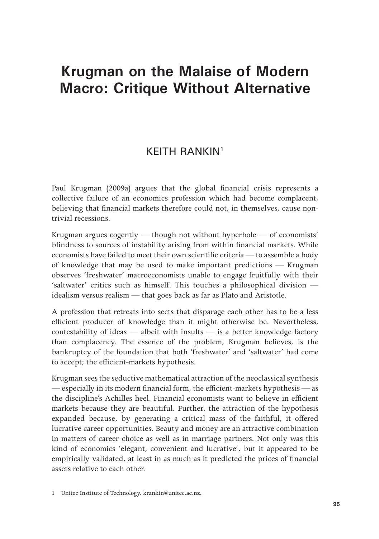## **Krugman on the Malaise of Modern Macro: Critique Without Alternative**

## KEITH RANKIN1

Paul Krugman (2009a) argues that the global financial crisis represents a collective failure of an economics profession which had become complacent, believing that financial markets therefore could not, in themselves, cause nontrivial recessions.

Krugman argues cogently — though not without hyperbole — of economists' blindness to sources of instability arising from within financial markets. While economists have failed to meet their own scientific criteria — to assemble a body of knowledge that may be used to make important predictions — Krugman observes 'freshwater' macroeconomists unable to engage fruitfully with their 'saltwater' critics such as himself. This touches a philosophical division idealism versus realism — that goes back as far as Plato and Aristotle.

A profession that retreats into sects that disparage each other has to be a less efficient producer of knowledge than it might otherwise be. Nevertheless, contestability of ideas — albeit with insults — is a better knowledge factory than complacency. The essence of the problem, Krugman believes, is the bankruptcy of the foundation that both 'freshwater' and 'saltwater' had come to accept; the efficient-markets hypothesis.

Krugman sees the seductive mathematical attraction of the neoclassical synthesis — especially in its modern financial form, the efficient-markets hypothesis — as the discipline's Achilles heel. Financial economists want to believe in efficient markets because they are beautiful. Further, the attraction of the hypothesis expanded because, by generating a critical mass of the faithful, it offered lucrative career opportunities. Beauty and money are an attractive combination in matters of career choice as well as in marriage partners. Not only was this kind of economics 'elegant, convenient and lucrative', but it appeared to be empirically validated, at least in as much as it predicted the prices of financial assets relative to each other.

<sup>1</sup> Unitec Institute of Technology, krankin@unitec.ac.nz.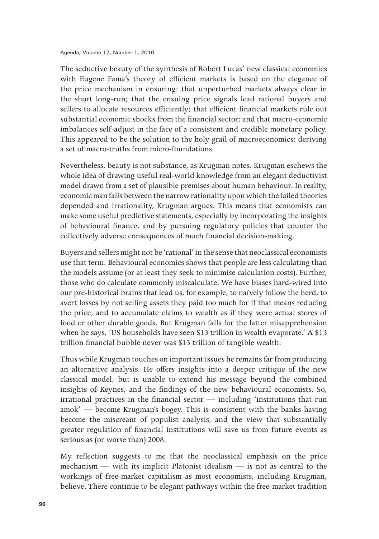Agenda, Volume 17, Number 1, 2010

The seductive beauty of the synthesis of Robert Lucas' new classical economics with Eugene Fama's theory of efficient markets is based on the elegance of the price mechanism in ensuring: that unperturbed markets always clear in the short long-run; that the ensuing price signals lead rational buyers and sellers to allocate resources efficiently; that efficient financial markets rule out substantial economic shocks from the financial sector; and that macro-economic imbalances self-adjust in the face of a consistent and credible monetary policy. This appeared to be the solution to the holy grail of macroeconomics; deriving a set of macro-truths from micro-foundations.

Nevertheless, beauty is not substance, as Krugman notes. Krugman eschews the whole idea of drawing useful real-world knowledge from an elegant deductivist model drawn from a set of plausible premises about human behaviour. In reality, economic man falls between the narrow rationality upon which the failed theories depended and irrationality, Krugman argues. This means that economists can make some useful predictive statements, especially by incorporating the insights of behavioural finance, and by pursuing regulatory policies that counter the collectively adverse consequences of much financial decision-making.

Buyers and sellers might not be 'rational' in the sense that neoclassical economists use that term. Behavioural economics shows that people are less calculating than the models assume (or at least they seek to minimise calculation costs). Further, those who do calculate commonly miscalculate. We have biases hard-wired into our pre-historical brains that lead us, for example, to naïvely follow the herd, to avert losses by not selling assets they paid too much for if that means reducing the price, and to accumulate claims to wealth as if they were actual stores of food or other durable goods. But Krugman falls for the latter misapprehension when he says, 'US households have seen \$13 trillion in wealth evaporate.' A \$13 trillion financial bubble never was \$13 trillion of tangible wealth.

Thus while Krugman touches on important issues he remains far from producing an alternative analysis. He offers insights into a deeper critique of the new classical model, but is unable to extend his message beyond the combined insights of Keynes, and the findings of the new behavioural economists. So, irrational practices in the financial sector — including 'institutions that run amok' — become Krugman's bogey. This is consistent with the banks having become the miscreant of populist analysis, and the view that substantially greater regulation of financial institutions will save us from future events as serious as (or worse than) 2008.

My reflection suggests to me that the neoclassical emphasis on the price mechanism — with its implicit Platonist idealism — is not as central to the workings of free-market capitalism as most economists, including Krugman, believe. There continue to be elegant pathways within the free-market tradition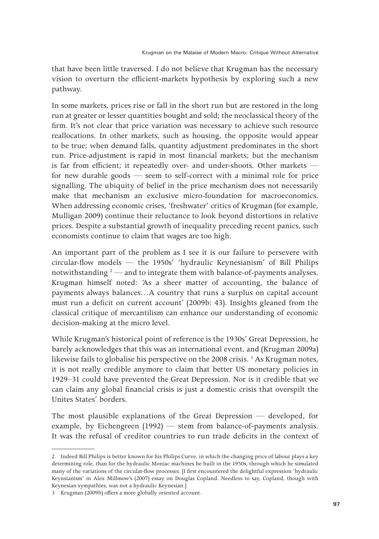that have been little traversed. I do not believe that Krugman has the necessary vision to overturn the efficient-markets hypothesis by exploring such a new pathway.

In some markets, prices rise or fall in the short run but are restored in the long run at greater or lesser quantities bought and sold; the neoclassical theory of the firm. It's not clear that price variation was necessary to achieve such resource reallocations. In other markets, such as housing, the opposite would appear to be true; when demand falls, quantity adjustment predominates in the short run. Price-adjustment is rapid in most financial markets; but the mechanism is far from efficient; it repeatedly over- and under-shoots. Other markets for new durable goods — seem to self-correct with a minimal role for price signalling. The ubiquity of belief in the price mechanism does not necessarily make that mechanism an exclusive micro-foundation for macroeconomics. When addressing economic crises, 'freshwater' critics of Krugman (for example, Mulligan 2009) continue their reluctance to look beyond distortions in relative prices. Despite a substantial growth of inequality preceding recent panics, such economists continue to claim that wages are too high.

An important part of the problem as I see it is our failure to persevere with circular-flow models — the 1950s' 'hydraulic Keynesianism' of Bill Philips notwithstanding  $2$  — and to integrate them with balance-of-payments analyses. Krugman himself noted: 'As a sheer matter of accounting, the balance of payments always balances…A country that runs a surplus on capital account must run a deficit on current account' (2009b: 43). Insights gleaned from the classical critique of mercantilism can enhance our understanding of economic decision-making at the micro level.

While Krugman's historical point of reference is the 1930s' Great Depression, he barely acknowledges that this was an international event, and (Krugman 2009a) likewise fails to globalise his perspective on the 2008 crisis.<sup>3</sup> As Krugman notes, it is not really credible anymore to claim that better US monetary policies in 1929–31 could have prevented the Great Depression. Nor is it credible that we can claim any global financial crisis is just a domestic crisis that overspilt the Unites States' borders.

The most plausible explanations of the Great Depression — developed, for example, by Eichengreen (1992) — stem from balance-of-payments analysis. It was the refusal of creditor countries to run trade deficits in the context of

<sup>2</sup> Indeed Bill Philips is better known for his Philips Curve, in which the changing price of labour plays a key determining role, than for the hydraulic Moniac machines he built in the 1950s, through which he simulated many of the variations of the circular-flow processes. [I first encountered the delightful expression 'hydraulic Keynsianism' in Alex Millmow's (2007) essay on Douglas Copland. Needless to say, Copland, though with Keynesian sympathies, was not a hydraulic Keynesian.]

<sup>3</sup> Krugman (2009b) offers a more globally oriented account.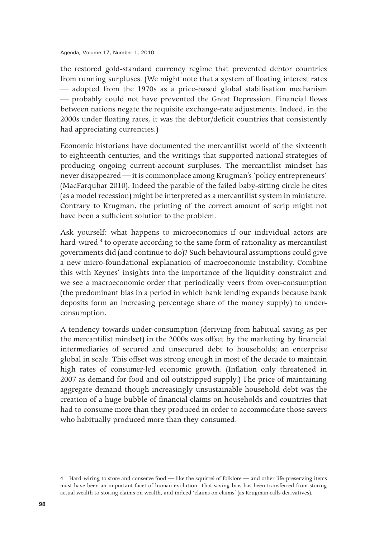Agenda, Volume 17, Number 1, 2010

the restored gold-standard currency regime that prevented debtor countries from running surpluses. (We might note that a system of floating interest rates — adopted from the 1970s as a price-based global stabilisation mechanism — probably could not have prevented the Great Depression. Financial flows between nations negate the requisite exchange-rate adjustments. Indeed, in the 2000s under floating rates, it was the debtor/deficit countries that consistently had appreciating currencies.)

Economic historians have documented the mercantilist world of the sixteenth to eighteenth centuries, and the writings that supported national strategies of producing ongoing current-account surpluses. The mercantilist mindset has never disappeared — it is commonplace among Krugman's 'policy entrepreneurs' (MacFarquhar 2010). Indeed the parable of the failed baby-sitting circle he cites (as a model recession) might be interpreted as a mercantilist system in miniature. Contrary to Krugman, the printing of the correct amount of scrip might not have been a sufficient solution to the problem.

Ask yourself: what happens to microeconomics if our individual actors are hard-wired <sup>4</sup> to operate according to the same form of rationality as mercantilist governments did (and continue to do)? Such behavioural assumptions could give a new micro-foundational explanation of macroeconomic instability. Combine this with Keynes' insights into the importance of the liquidity constraint and we see a macroeconomic order that periodically veers from over-consumption (the predominant bias in a period in which bank lending expands because bank deposits form an increasing percentage share of the money supply) to underconsumption.

A tendency towards under-consumption (deriving from habitual saving as per the mercantilist mindset) in the 2000s was offset by the marketing by financial intermediaries of secured and unsecured debt to households; an enterprise global in scale. This offset was strong enough in most of the decade to maintain high rates of consumer-led economic growth. (Inflation only threatened in 2007 as demand for food and oil outstripped supply.) The price of maintaining aggregate demand though increasingly unsustainable household debt was the creation of a huge bubble of financial claims on households and countries that had to consume more than they produced in order to accommodate those savers who habitually produced more than they consumed.

<sup>4</sup> Hard-wiring to store and conserve food — like the squirrel of folklore — and other life-preserving items must have been an important facet of human evolution. That saving bias has been transferred from storing actual wealth to storing claims on wealth, and indeed 'claims on claims' (as Krugman calls derivatives).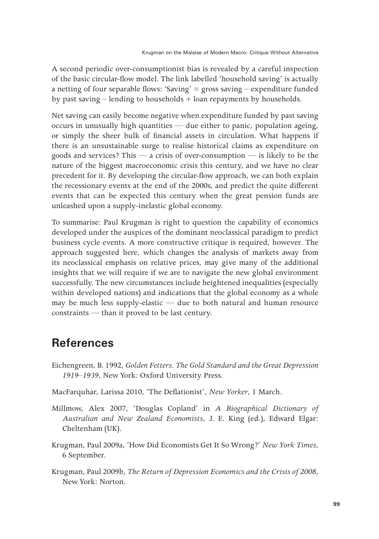A second periodic over-consumptionist bias is revealed by a careful inspection of the basic circular-flow model. The link labelled 'household saving' is actually a netting of four separable flows: 'Saving' = gross saving  $-$  expenditure funded by past saving – lending to households + loan repayments by households.

Net saving can easily become negative when expenditure funded by past saving occurs in unusually high quantities — due either to panic, population ageing, or simply the sheer bulk of financial assets in circulation. What happens if there is an unsustainable surge to realise historical claims as expenditure on goods and services? This — a crisis of over-consumption — is likely to be the nature of the biggest macroeconomic crisis this century, and we have no clear precedent for it. By developing the circular-flow approach, we can both explain the recessionary events at the end of the 2000s, and predict the quite different events that can be expected this century when the great pension funds are unleashed upon a supply-inelastic global economy.

To summarise: Paul Krugman is right to question the capability of economics developed under the auspices of the dominant neoclassical paradigm to predict business cycle events. A more constructive critique is required, however. The approach suggested here, which changes the analysis of markets away from its neoclassical emphasis on relative prices, may give many of the additional insights that we will require if we are to navigate the new global environment successfully. The new circumstances include heightened inequalities (especially within developed nations) and indications that the global economy as a whole may be much less supply-elastic — due to both natural and human resource constraints — than it proved to be last century.

## **References**

- Eichengreen, B. 1992, *Golden Fetters. The Gold Standard and the Great Depression 1919–1939*, New York: Oxford University Press.
- MacFarquhar, Larissa 2010, 'The Deflationist', *New Yorker*, 1 March.
- Millmow, Alex 2007, 'Douglas Copland' in *A Biographical Dictionary of Australian and New Zealand Economists*, J. E. King (ed.), Edward Elgar: Cheltenham (UK).
- Krugman, Paul 2009a, 'How Did Economists Get It So Wrong?' *New York Times*, 6 September.
- Krugman, Paul 2009b, *The Return of Depression Economics and the Crisis of 2008*, New York: Norton.